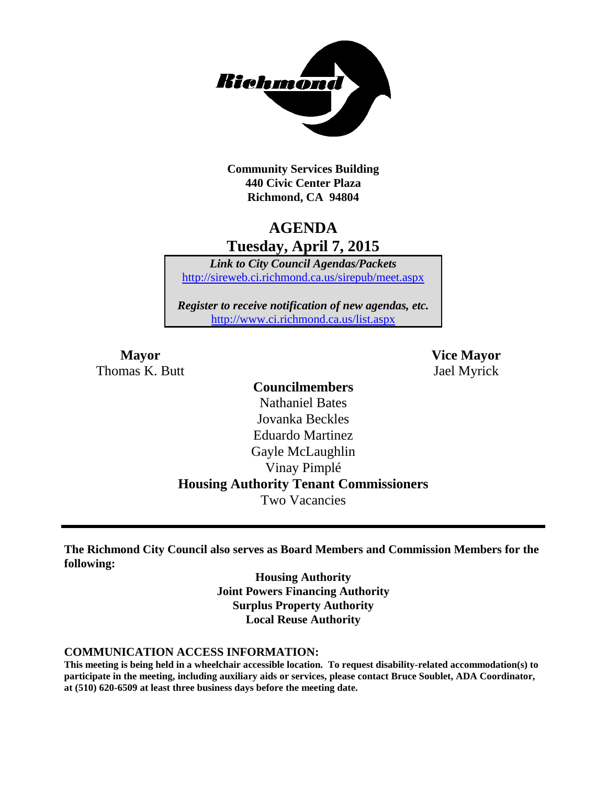

**Community Services Building 440 Civic Center Plaza Richmond, CA 94804**

# **AGENDA Tuesday, April 7, 2015**

*Link to City Council Agendas/Packets* <http://sireweb.ci.richmond.ca.us/sirepub/meet.aspx>

*Register to receive notification of new agendas, etc.* <http://www.ci.richmond.ca.us/list.aspx>

Thomas K. Butt Jael Myrick

**Mayor Vice Mayor**

# **Councilmembers**

Nathaniel Bates Jovanka Beckles Eduardo Martinez Gayle McLaughlin Vinay Pimplé **Housing Authority Tenant Commissioners** Two Vacancies

**The Richmond City Council also serves as Board Members and Commission Members for the following:**

> **Housing Authority Joint Powers Financing Authority Surplus Property Authority Local Reuse Authority**

#### **COMMUNICATION ACCESS INFORMATION:**

**This meeting is being held in a wheelchair accessible location. To request disability-related accommodation(s) to participate in the meeting, including auxiliary aids or services, please contact Bruce Soublet, ADA Coordinator, at (510) 620-6509 at least three business days before the meeting date.**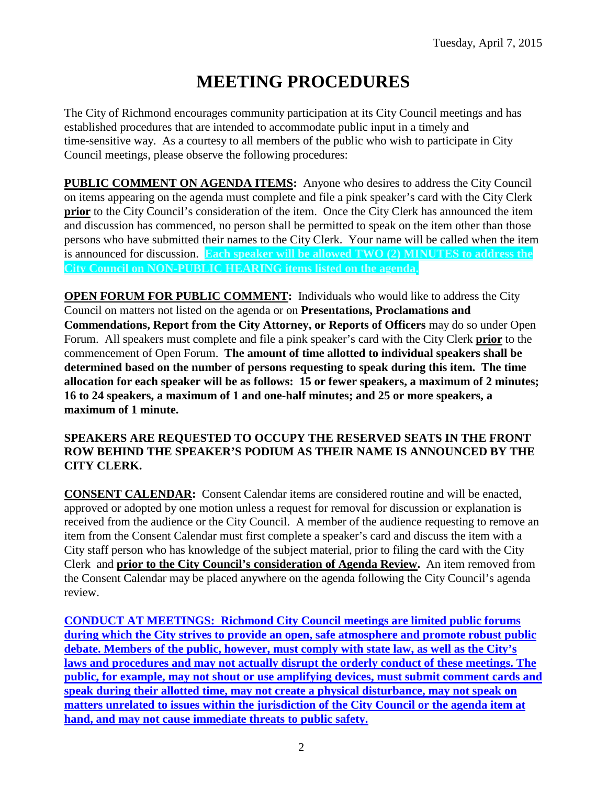# **MEETING PROCEDURES**

The City of Richmond encourages community participation at its City Council meetings and has established procedures that are intended to accommodate public input in a timely and time-sensitive way. As a courtesy to all members of the public who wish to participate in City Council meetings, please observe the following procedures:

**PUBLIC COMMENT ON AGENDA ITEMS:** Anyone who desires to address the City Council on items appearing on the agenda must complete and file a pink speaker's card with the City Clerk **prior** to the City Council's consideration of the item. Once the City Clerk has announced the item and discussion has commenced, no person shall be permitted to speak on the item other than those persons who have submitted their names to the City Clerk. Your name will be called when the item is announced for discussion. **Each speaker will be allowed TWO (2) MINUTES to address the City Council on NON-PUBLIC HEARING items listed on the agenda.**

**OPEN FORUM FOR PUBLIC COMMENT:** Individuals who would like to address the City Council on matters not listed on the agenda or on **Presentations, Proclamations and Commendations, Report from the City Attorney, or Reports of Officers** may do so under Open Forum. All speakers must complete and file a pink speaker's card with the City Clerk **prior** to the commencement of Open Forum. **The amount of time allotted to individual speakers shall be determined based on the number of persons requesting to speak during this item. The time allocation for each speaker will be as follows: 15 or fewer speakers, a maximum of 2 minutes; 16 to 24 speakers, a maximum of 1 and one-half minutes; and 25 or more speakers, a maximum of 1 minute.**

#### **SPEAKERS ARE REQUESTED TO OCCUPY THE RESERVED SEATS IN THE FRONT ROW BEHIND THE SPEAKER'S PODIUM AS THEIR NAME IS ANNOUNCED BY THE CITY CLERK.**

**CONSENT CALENDAR:** Consent Calendar items are considered routine and will be enacted, approved or adopted by one motion unless a request for removal for discussion or explanation is received from the audience or the City Council. A member of the audience requesting to remove an item from the Consent Calendar must first complete a speaker's card and discuss the item with a City staff person who has knowledge of the subject material, prior to filing the card with the City Clerk and **prior to the City Council's consideration of Agenda Review.** An item removed from the Consent Calendar may be placed anywhere on the agenda following the City Council's agenda review.

**CONDUCT AT MEETINGS: Richmond City Council meetings are limited public forums during which the City strives to provide an open, safe atmosphere and promote robust public debate. Members of the public, however, must comply with state law, as well as the City's laws and procedures and may not actually disrupt the orderly conduct of these meetings. The public, for example, may not shout or use amplifying devices, must submit comment cards and speak during their allotted time, may not create a physical disturbance, may not speak on matters unrelated to issues within the jurisdiction of the City Council or the agenda item at hand, and may not cause immediate threats to public safety.**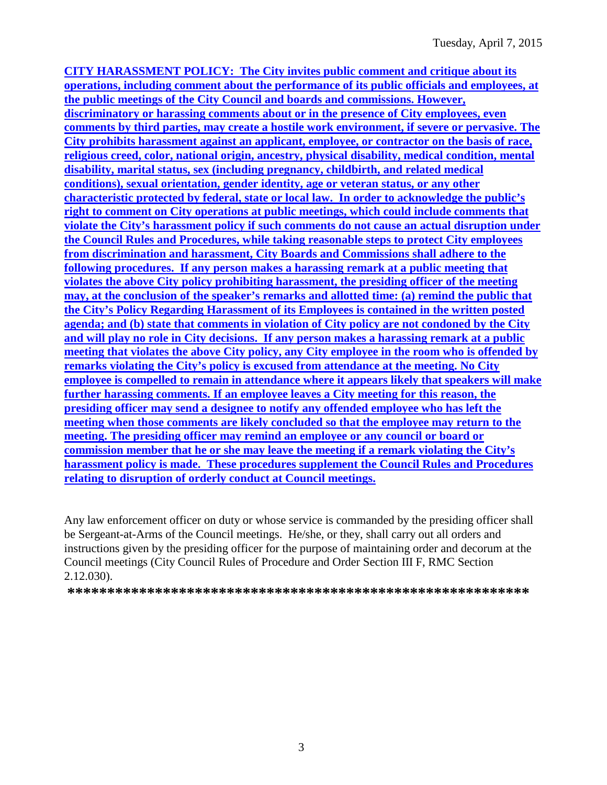**CITY HARASSMENT POLICY: The City invites public comment and critique about its operations, including comment about the performance of its public officials and employees, at the public meetings of the City Council and boards and commissions. However, discriminatory or harassing comments about or in the presence of City employees, even comments by third parties, may create a hostile work environment, if severe or pervasive. The City prohibits harassment against an applicant, employee, or contractor on the basis of race, religious creed, color, national origin, ancestry, physical disability, medical condition, mental disability, marital status, sex (including pregnancy, childbirth, and related medical conditions), sexual orientation, gender identity, age or veteran status, or any other characteristic protected by federal, state or local law. In order to acknowledge the public's right to comment on City operations at public meetings, which could include comments that violate the City's harassment policy if such comments do not cause an actual disruption under the Council Rules and Procedures, while taking reasonable steps to protect City employees from discrimination and harassment, City Boards and Commissions shall adhere to the following procedures. If any person makes a harassing remark at a public meeting that violates the above City policy prohibiting harassment, the presiding officer of the meeting may, at the conclusion of the speaker's remarks and allotted time: (a) remind the public that the City's Policy Regarding Harassment of its Employees is contained in the written posted agenda; and (b) state that comments in violation of City policy are not condoned by the City and will play no role in City decisions. If any person makes a harassing remark at a public meeting that violates the above City policy, any City employee in the room who is offended by remarks violating the City's policy is excused from attendance at the meeting. No City employee is compelled to remain in attendance where it appears likely that speakers will make further harassing comments. If an employee leaves a City meeting for this reason, the presiding officer may send a designee to notify any offended employee who has left the meeting when those comments are likely concluded so that the employee may return to the meeting. The presiding officer may remind an employee or any council or board or commission member that he or she may leave the meeting if a remark violating the City's harassment policy is made. These procedures supplement the Council Rules and Procedures relating to disruption of orderly conduct at Council meetings.**

Any law enforcement officer on duty or whose service is commanded by the presiding officer shall be Sergeant-at-Arms of the Council meetings. He/she, or they, shall carry out all orders and instructions given by the presiding officer for the purpose of maintaining order and decorum at the Council meetings (City Council Rules of Procedure and Order Section III F, RMC Section 2.12.030).

**\*\*\*\*\*\*\*\*\*\*\*\*\*\*\*\*\*\*\*\*\*\*\*\*\*\*\*\*\*\*\*\*\*\*\*\*\*\*\*\*\*\*\*\*\*\*\*\*\*\*\*\*\*\*\*\*\*\***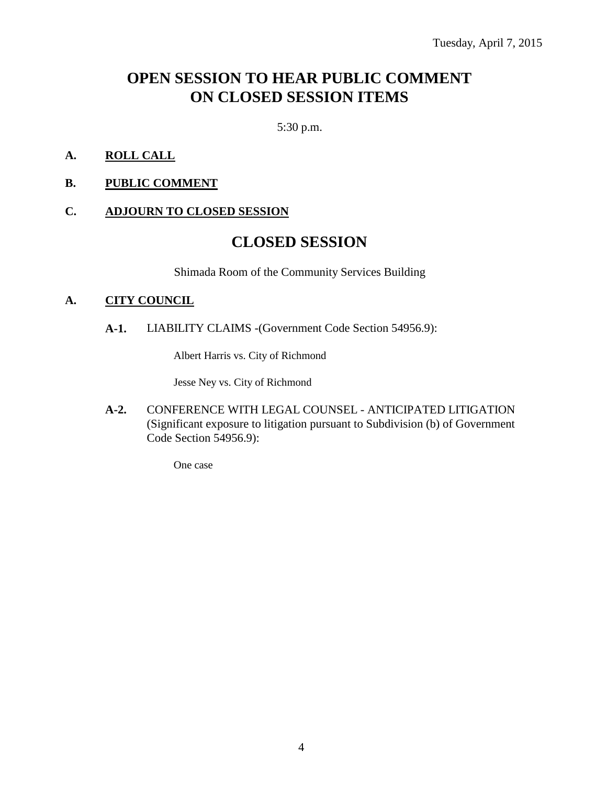# **OPEN SESSION TO HEAR PUBLIC COMMENT ON CLOSED SESSION ITEMS**

5:30 p.m.

- **A. ROLL CALL**
- **B. PUBLIC COMMENT**

#### **C. ADJOURN TO CLOSED SESSION**

# **CLOSED SESSION**

Shimada Room of the Community Services Building

#### **A. CITY COUNCIL**

**A-1.** LIABILITY CLAIMS -(Government Code Section 54956.9):

Albert Harris vs. City of Richmond

Jesse Ney vs. City of Richmond

**A-2.** CONFERENCE WITH LEGAL COUNSEL - ANTICIPATED LITIGATION (Significant exposure to litigation pursuant to Subdivision (b) of Government Code Section 54956.9):

One case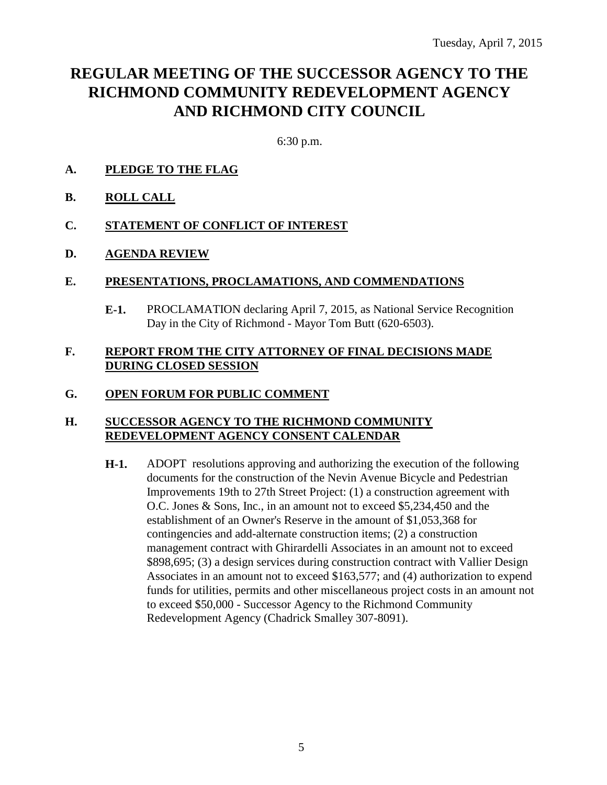# **REGULAR MEETING OF THE SUCCESSOR AGENCY TO THE RICHMOND COMMUNITY REDEVELOPMENT AGENCY AND RICHMOND CITY COUNCIL**

6:30 p.m.

- **A. PLEDGE TO THE FLAG**
- **B. ROLL CALL**
- **C. STATEMENT OF CONFLICT OF INTEREST**
- **D. AGENDA REVIEW**

#### **E. PRESENTATIONS, PROCLAMATIONS, AND COMMENDATIONS**

**E-1.** PROCLAMATION declaring April 7, 2015, as National Service Recognition Day in the City of Richmond - Mayor Tom Butt (620-6503).

#### **F. REPORT FROM THE CITY ATTORNEY OF FINAL DECISIONS MADE DURING CLOSED SESSION**

#### **G. OPEN FORUM FOR PUBLIC COMMENT**

#### **H. SUCCESSOR AGENCY TO THE RICHMOND COMMUNITY REDEVELOPMENT AGENCY CONSENT CALENDAR**

**H-1.** ADOPT resolutions approving and authorizing the execution of the following documents for the construction of the Nevin Avenue Bicycle and Pedestrian Improvements 19th to 27th Street Project: (1) a construction agreement with O.C. Jones & Sons, Inc., in an amount not to exceed \$5,234,450 and the establishment of an Owner's Reserve in the amount of \$1,053,368 for contingencies and add-alternate construction items; (2) a construction management contract with Ghirardelli Associates in an amount not to exceed \$898,695; (3) a design services during construction contract with Vallier Design Associates in an amount not to exceed \$163,577; and (4) authorization to expend funds for utilities, permits and other miscellaneous project costs in an amount not to exceed \$50,000 - Successor Agency to the Richmond Community Redevelopment Agency (Chadrick Smalley 307-8091).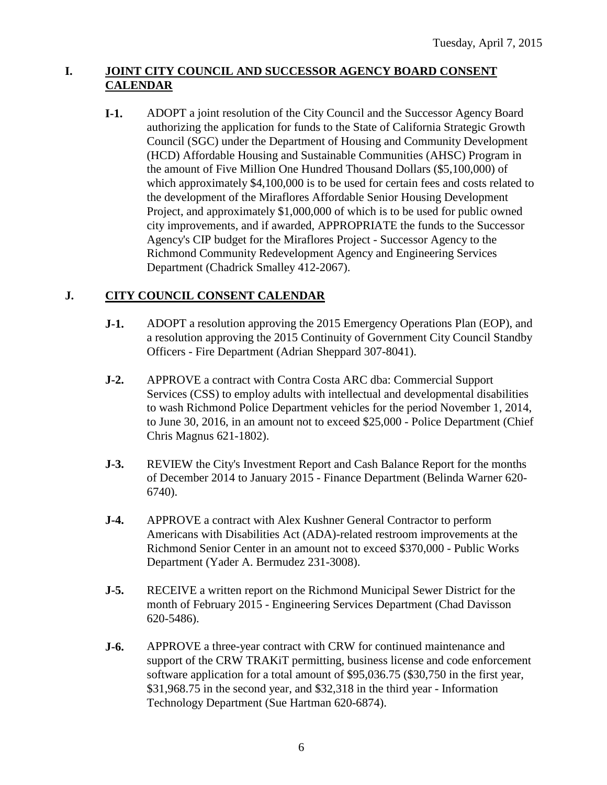### **I. JOINT CITY COUNCIL AND SUCCESSOR AGENCY BOARD CONSENT CALENDAR**

**I-1.** ADOPT a joint resolution of the City Council and the Successor Agency Board authorizing the application for funds to the State of California Strategic Growth Council (SGC) under the Department of Housing and Community Development (HCD) Affordable Housing and Sustainable Communities (AHSC) Program in the amount of Five Million One Hundred Thousand Dollars (\$5,100,000) of which approximately \$4,100,000 is to be used for certain fees and costs related to the development of the Miraflores Affordable Senior Housing Development Project, and approximately \$1,000,000 of which is to be used for public owned city improvements, and if awarded, APPROPRIATE the funds to the Successor Agency's CIP budget for the Miraflores Project - Successor Agency to the Richmond Community Redevelopment Agency and Engineering Services Department (Chadrick Smalley 412-2067).

# **J. CITY COUNCIL CONSENT CALENDAR**

- **J-1.** ADOPT a resolution approving the 2015 Emergency Operations Plan (EOP), and a resolution approving the 2015 Continuity of Government City Council Standby Officers - Fire Department (Adrian Sheppard 307-8041).
- **J-2.** APPROVE a contract with Contra Costa ARC dba: Commercial Support Services (CSS) to employ adults with intellectual and developmental disabilities to wash Richmond Police Department vehicles for the period November 1, 2014, to June 30, 2016, in an amount not to exceed \$25,000 - Police Department (Chief Chris Magnus 621-1802).
- **J-3.** REVIEW the City's Investment Report and Cash Balance Report for the months of December 2014 to January 2015 - Finance Department (Belinda Warner 620- 6740).
- **J-4.** APPROVE a contract with Alex Kushner General Contractor to perform Americans with Disabilities Act (ADA)-related restroom improvements at the Richmond Senior Center in an amount not to exceed \$370,000 - Public Works Department (Yader A. Bermudez 231-3008).
- **J-5.** RECEIVE a written report on the Richmond Municipal Sewer District for the month of February 2015 - Engineering Services Department (Chad Davisson 620-5486).
- **J-6.** APPROVE a three-year contract with CRW for continued maintenance and support of the CRW TRAKiT permitting, business license and code enforcement software application for a total amount of \$95,036.75 (\$30,750 in the first year, \$31,968.75 in the second year, and \$32,318 in the third year - Information Technology Department (Sue Hartman 620-6874).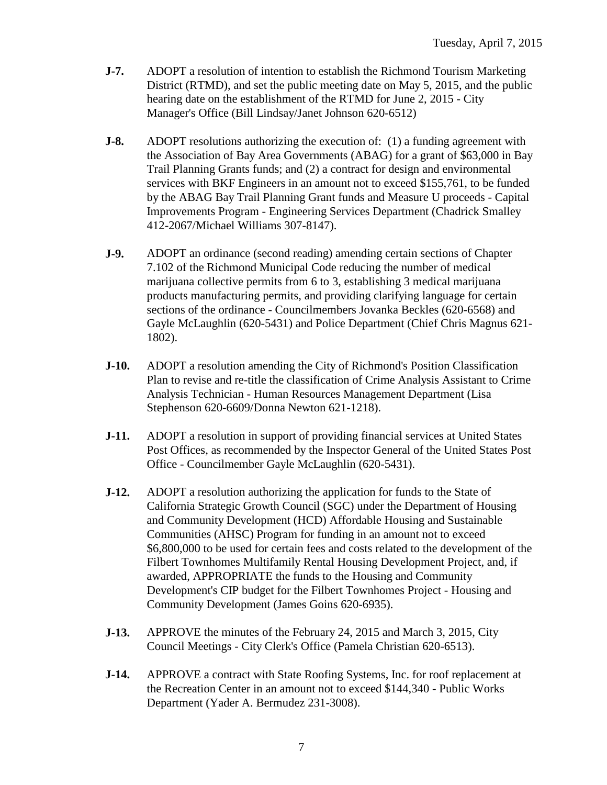- **J-7.** ADOPT a resolution of intention to establish the Richmond Tourism Marketing District (RTMD), and set the public meeting date on May 5, 2015, and the public hearing date on the establishment of the RTMD for June 2, 2015 - City Manager's Office (Bill Lindsay/Janet Johnson 620-6512)
- **J-8.** ADOPT resolutions authorizing the execution of: (1) a funding agreement with the Association of Bay Area Governments (ABAG) for a grant of \$63,000 in Bay Trail Planning Grants funds; and (2) a contract for design and environmental services with BKF Engineers in an amount not to exceed \$155,761, to be funded by the ABAG Bay Trail Planning Grant funds and Measure U proceeds - Capital Improvements Program - Engineering Services Department (Chadrick Smalley 412-2067/Michael Williams 307-8147).
- **J-9.** ADOPT an ordinance (second reading) amending certain sections of Chapter 7.102 of the Richmond Municipal Code reducing the number of medical marijuana collective permits from 6 to 3, establishing 3 medical marijuana products manufacturing permits, and providing clarifying language for certain sections of the ordinance - Councilmembers Jovanka Beckles (620-6568) and Gayle McLaughlin (620-5431) and Police Department (Chief Chris Magnus 621- 1802).
- **J-10.** ADOPT a resolution amending the City of Richmond's Position Classification Plan to revise and re-title the classification of Crime Analysis Assistant to Crime Analysis Technician - Human Resources Management Department (Lisa Stephenson 620-6609/Donna Newton 621-1218).
- **J-11.** ADOPT a resolution in support of providing financial services at United States Post Offices, as recommended by the Inspector General of the United States Post Office - Councilmember Gayle McLaughlin (620-5431).
- **J-12.** ADOPT a resolution authorizing the application for funds to the State of California Strategic Growth Council (SGC) under the Department of Housing and Community Development (HCD) Affordable Housing and Sustainable Communities (AHSC) Program for funding in an amount not to exceed \$6,800,000 to be used for certain fees and costs related to the development of the Filbert Townhomes Multifamily Rental Housing Development Project, and, if awarded, APPROPRIATE the funds to the Housing and Community Development's CIP budget for the Filbert Townhomes Project - Housing and Community Development (James Goins 620-6935).
- **J-13.** APPROVE the minutes of the February 24, 2015 and March 3, 2015, City Council Meetings - City Clerk's Office (Pamela Christian 620-6513).
- **J-14.** APPROVE a contract with State Roofing Systems, Inc. for roof replacement at the Recreation Center in an amount not to exceed \$144,340 - Public Works Department (Yader A. Bermudez 231-3008).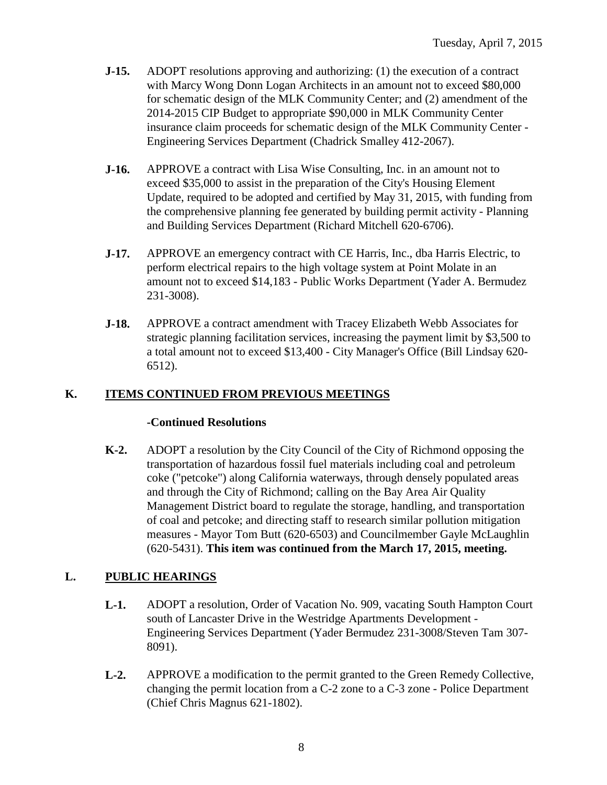- **J-15.** ADOPT resolutions approving and authorizing: (1) the execution of a contract with Marcy Wong Donn Logan Architects in an amount not to exceed \$80,000 for schematic design of the MLK Community Center; and (2) amendment of the 2014-2015 CIP Budget to appropriate \$90,000 in MLK Community Center insurance claim proceeds for schematic design of the MLK Community Center - Engineering Services Department (Chadrick Smalley 412-2067).
- **J-16.** APPROVE a contract with Lisa Wise Consulting, Inc. in an amount not to exceed \$35,000 to assist in the preparation of the City's Housing Element Update, required to be adopted and certified by May 31, 2015, with funding from the comprehensive planning fee generated by building permit activity - Planning and Building Services Department (Richard Mitchell 620-6706).
- **J-17.** APPROVE an emergency contract with CE Harris, Inc., dba Harris Electric, to perform electrical repairs to the high voltage system at Point Molate in an amount not to exceed \$14,183 - Public Works Department (Yader A. Bermudez 231-3008).
- **J-18.** APPROVE a contract amendment with Tracey Elizabeth Webb Associates for strategic planning facilitation services, increasing the payment limit by \$3,500 to a total amount not to exceed \$13,400 - City Manager's Office (Bill Lindsay 620- 6512).

## **K. ITEMS CONTINUED FROM PREVIOUS MEETINGS**

#### **-Continued Resolutions**

**K-2.** ADOPT a resolution by the City Council of the City of Richmond opposing the transportation of hazardous fossil fuel materials including coal and petroleum coke ("petcoke") along California waterways, through densely populated areas and through the City of Richmond; calling on the Bay Area Air Quality Management District board to regulate the storage, handling, and transportation of coal and petcoke; and directing staff to research similar pollution mitigation measures - Mayor Tom Butt (620-6503) and Councilmember Gayle McLaughlin (620-5431). **This item was continued from the March 17, 2015, meeting.**

## **L. PUBLIC HEARINGS**

- **L-1.** ADOPT a resolution, Order of Vacation No. 909, vacating South Hampton Court south of Lancaster Drive in the Westridge Apartments Development - Engineering Services Department (Yader Bermudez 231-3008/Steven Tam 307- 8091).
- **L-2.** APPROVE a modification to the permit granted to the Green Remedy Collective, changing the permit location from a C-2 zone to a C-3 zone - Police Department (Chief Chris Magnus 621-1802).